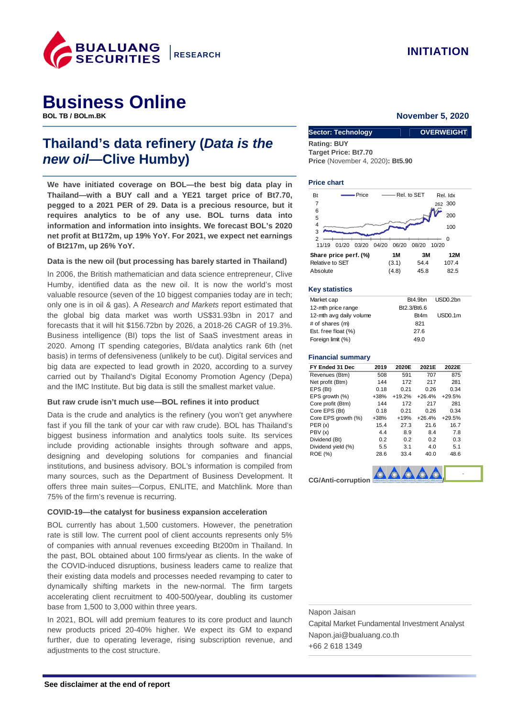

# **Business Online**

## **Thailand's data refinery (Data is the new oil—Clive Humby)**

**We have initiated coverage on BOL—the best big data play in Thailand—with a BUY call and a YE21 target price of Bt7.70, pegged to a 2021 PER of 29. Data is a precious resource, but it requires analytics to be of any use. BOL turns data into information and information into insights. We forecast BOL's 2020 net profit at Bt172m, up 19% YoY. For 2021, we expect net earnings of Bt217m, up 26% YoY.** 

#### **Data is the new oil (but processing has barely started in Thailand)**

In 2006, the British mathematician and data science entrepreneur, Clive Humby, identified data as the new oil. It is now the world's most valuable resource (seven of the 10 biggest companies today are in tech; only one is in oil & gas). A Research and Markets report estimated that the global big data market was worth US\$31.93bn in 2017 and forecasts that it will hit \$156.72bn by 2026, a 2018-26 CAGR of 19.3%. Business intelligence (BI) tops the list of SaaS investment areas in 2020. Among IT spending categories, BI/data analytics rank 6th (net basis) in terms of defensiveness (unlikely to be cut). Digital services and big data are expected to lead growth in 2020, according to a survey carried out by Thailand's Digital Economy Promotion Agency (Depa) and the IMC Institute. But big data is still the smallest market value.

#### **But raw crude isn't much use—BOL refines it into product**

Data is the crude and analytics is the refinery (you won't get anywhere fast if you fill the tank of your car with raw crude). BOL has Thailand's biggest business information and analytics tools suite. Its services include providing actionable insights through software and apps, designing and developing solutions for companies and financial institutions, and business advisory. BOL's information is compiled from many sources, such as the Department of Business Development. It offers three main suites—Corpus, ENLITE, and Matchlink. More than 75% of the firm's revenue is recurring.

#### **COVID-19—the catalyst for business expansion acceleration**

BOL currently has about 1,500 customers. However, the penetration rate is still low. The current pool of client accounts represents only 5% of companies with annual revenues exceeding Bt200m in Thailand. In the past, BOL obtained about 100 firms/year as clients. In the wake of the COVID-induced disruptions, business leaders came to realize that their existing data models and processes needed revamping to cater to dynamically shifting markets in the new-normal. The firm targets accelerating client recruitment to 400-500/year, doubling its customer base from 1,500 to 3,000 within three years.

In 2021, BOL will add premium features to its core product and launch new products priced 20-40% higher. We expect its GM to expand further, due to operating leverage, rising subscription revenue, and adjustments to the cost structure.

#### **Rovember 5, 2020**

| <b>Sector: Technology</b>                      | <b>OVERWEIGHT</b> |
|------------------------------------------------|-------------------|
| <b>Rating: BUY</b>                             |                   |
| <b>Target Price: Bt7.70</b>                    |                   |
| <b>Price</b> (November 4, 2020): <b>Bt5.90</b> |                   |

#### **Price chart**



#### **Key statistics**

| Market cap              | Bt4.9bn          | USD <sub>0.2bn</sub> |
|-------------------------|------------------|----------------------|
| 12-mth price range      | Bt2.3/Bt6.6      |                      |
| 12-mth avg daily volume | R <sub>t4m</sub> | USD <sub>0.1m</sub>  |
| # of shares (m)         | 821              |                      |
| Est. free float (%)     | 27.6             |                      |
| Foreign limit (%)       | 49.0             |                      |
|                         |                  |                      |

#### **Financial summary**

| FY Ended 31 Dec     | 2019   | 2020E    | 2021E    | 2022E    |
|---------------------|--------|----------|----------|----------|
| Revenues (Btm)      | 508    | 591      | 707      | 875      |
| Net profit (Btm)    | 144    | 172      | 217      | 281      |
| EPS (Bt)            | 0.18   | 0.21     | 0.26     | 0.34     |
| EPS growth (%)      | $+38%$ | $+19.2%$ | $+26.4%$ | $+29.5%$ |
| Core profit (Btm)   | 144    | 172      | 217      | 281      |
| Core EPS (Bt)       | 0.18   | 0.21     | 0.26     | 0.34     |
| Core EPS growth (%) | $+38%$ | $+19%$   | $+26.4%$ | $+29.5%$ |
| PER(x)              | 15.4   | 27.3     | 21.6     | 16.7     |
| PBV (x)             | 4.4    | 8.9      | 8.4      | 7.8      |
| Dividend (Bt)       | 0.2    | 0.2      | 0.2      | 0.3      |
| Dividend yield (%)  | 5.5    | 3.1      | 4.0      | 5.1      |
| <b>ROE (%)</b>      | 28.6   | 33.4     | 40.0     | 48.6     |



Napon Jaisan Capital Market Fundamental Investment Analyst Napon.jai@bualuang.co.th +66 2 618 1349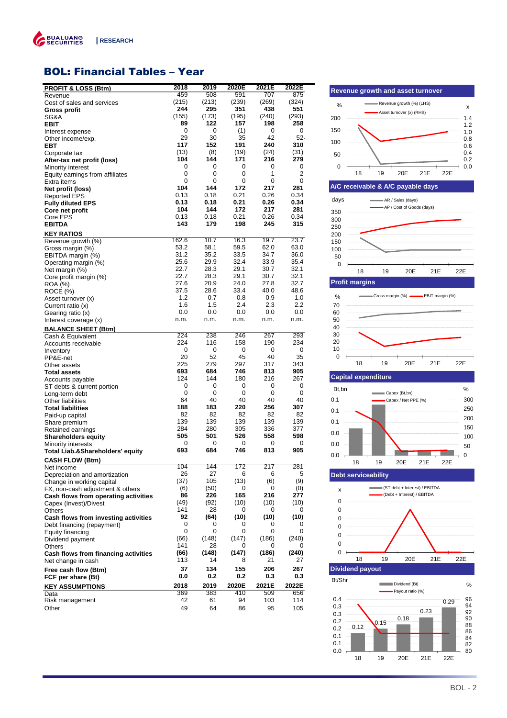

### BOL: Financial Tables – Year

| <b>PROFIT &amp; LOSS (Btm)</b>              | 2018         | 2019         | 2020E        | 2021E        | 2022E        |
|---------------------------------------------|--------------|--------------|--------------|--------------|--------------|
| Revenue                                     | 459          | 508          | 591          | 707          | 875          |
| Cost of sales and services                  | (215)        | (213)        | (239)        | (269)        | (324)        |
| <b>Gross profit</b>                         | 244          | 295          | 351          | 438          | 551          |
| SG&A                                        | (155)        | (173)        | (195)        | (240)        | (293)        |
| <b>EBIT</b>                                 | 89           | 122          | 157          | 198          | 258          |
| Interest expense                            | 0            | 0            | (1)          | 0            | 0            |
| Other income/exp.                           | 29           | 30           | 35           | 42           | $52-$        |
| <b>EBT</b>                                  | 117          | 152          | 191          | 240          | 310          |
| Corporate tax                               | (13)         | (8)          | (19)         | (24)         | (31)         |
| After-tax net profit (loss)                 | 104          | 144          | 171          | 216          | 279          |
| Minority interest                           | 0            | 0            | 0            | 0            | 0            |
| Equity earnings from affiliates             | 0            | 0            | 0            | 1            | 2            |
| Extra items                                 | 0<br>104     | 0<br>144     | 0<br>172     | 0<br>217     | 0<br>281     |
| Net profit (loss)                           | 0.13         | 0.18         | 0.21         | 0.26         | 0.34         |
| <b>Reported EPS</b>                         | 0.13         | 0.18         | 0.21         | 0.26         | 0.34         |
| <b>Fully diluted EPS</b>                    | 104          | 144          | 172          | 217          | 281          |
| Core net profit<br>Core EPS                 | 0.13         | 0.18         | 0.21         | 0.26         | 0.34         |
| <b>EBITDA</b>                               | 143          | 179          | 198          | 245          | 315          |
|                                             |              |              |              |              |              |
| <b>KEY RATIOS</b>                           |              |              |              |              |              |
| Revenue growth (%)                          | 162.6        | 10.7         | 16.3         | 19.7         | 23.7         |
| Gross margin (%)                            | 53.2<br>31.2 | 58.1<br>35.2 | 59.5<br>33.5 | 62.0<br>34.7 | 63.0<br>36.0 |
| EBITDA margin (%)                           |              | 29.9         | 32.4         |              | 35.4         |
| Operating margin (%)                        | 25.6<br>22.7 | 28.3         | 29.1         | 33.9<br>30.7 | 32.1         |
| Net margin (%)                              | 22.7         | 28.3         | 29.1         | 30.7         | 32.1         |
| Core profit margin (%)                      | 27.6         | 20.9         | 24.0         | 27.8         | 32.7         |
| <b>ROA</b> (%)                              | 37.5         | 28.6         | 33.4         | 40.0         | 48.6         |
| ROCE (%)<br>Asset turnover (x)              | 1.2          | 0.7          | 0.8          | 0.9          | 1.0          |
|                                             | 1.6          | 1.5          | 2.4          | 2.3          | $2.2\,$      |
| Current ratio (x)<br>Gearing ratio (x)      | 0.0          | 0.0          | 0.0          | 0.0          | 0.0          |
| Interest coverage (x)                       | n.m.         | n.m.         | n.m.         | n.m.         | n.m.         |
|                                             |              |              |              |              |              |
| <b>BALANCE SHEET (Btm)</b>                  | 224          | 238          | 246          | 267          | 293          |
| Cash & Equivalent                           | 224          | 116          | 158          | 190          | 234          |
| Accounts receivable                         | 0            | 0            | 0            | 0            | 0            |
| Inventory                                   | 20           | 52           | 45           | 40           | 35           |
| PP&E-net<br>Other assets                    | 225          | 279          | 297          | 317          | 343          |
| <b>Total assets</b>                         | 693          | 684          | 746          | 813          | 905          |
| Accounts payable                            | 124          | 144          | 180          | 216          | 267          |
| ST debts & current portion                  | 0            | 0            | 0            | 0            | 0            |
| Long-term debt                              | 0            | 0            | 0            | $\mathbf 0$  | 0            |
| Other liabilities                           | 64           | 40           | 40           | 40           | 40           |
| <b>Total liabilities</b>                    | 188          | 183          | 220          | 256          | 307          |
| Paid-up capital                             | 82           | 82           | 82           | 82           | 82           |
| Share premium                               | 139          | 139          | 139          | 139          | 139          |
| Retained earnings                           | 284          | 280          | 305          | 336          | 377          |
| <b>Shareholders equity</b>                  | 505          | 501          | 526          | 558          | 598          |
| Minority interests                          | 0            | 0            | 0            | 0            | 0            |
| <b>Total Liab.&amp;Shareholders' equity</b> | 693          | 684          | 746          | 813          | 905          |
| <b>CASH FLOW (Btm)</b>                      |              |              |              |              |              |
| Net income                                  | 104          | 144          | 172          | 217          | 281          |
| Depreciation and amortization               | 26           | 27           | 6            | 6            | 5            |
| Change in working capital                   | (37)         | 105          | (13)         | (6)          | (9)          |
| FX, non-cash adjustment & others            | (6)          | (50)         | 0            | 0            | (0)          |
| Cash flows from operating activities        | 86           | 226          | 165          | 216          | 277          |
| Capex (Invest)/Divest                       | (49)         | (92)         | (10)         | (10)         | (10)         |
| <b>Others</b>                               | 141          | 28           | 0            | 0            | 0            |
| Cash flows from investing activities        | 92           | (64)         | (10)         | (10)         | (10)         |
| Debt financing (repayment)                  | 0            | 0            | 0            | 0            | 0            |
| Equity financing                            | 0            | 0            | 0            | 0            | 0            |
| Dividend payment                            | (66)         | (148)        | (147)        | (186)        | (240)        |
| <b>Others</b>                               | 141          | 28           | 0            | 0            | 0            |
| Cash flows from financing activities        | (66)         | (148)        | (147)        | (186)        | (240)        |
| Net change in cash                          | 113          | 14           | 8            | 21           | 27           |
| Free cash flow (Btm)                        | 37           | 134          | 155          | 206          | 267          |
| FCF per share (Bt)                          | 0.0          | 0.2          | 0.2          | 0.3          | 0.3          |
| <b>KEY ASSUMPTIONS</b>                      | 2018         | 2019         | 2020E        | 2021E        | 2022E        |
| Data                                        | 369          | 383          | 410          | 509          | 656          |
| Risk management                             | 42           | 61           | 94           | 103          | 114          |
| Other                                       | 49           | 64           | 86           | 95           | 105          |
|                                             |              |              |              |              |              |







### **Capital expenditure**



0 0 0 0  $\overline{0}$ 0  $\overline{0}$ 18 19 20E 21E 22E (ST debt + Interest) / EBITDA (Debt + Interest) / EBITDA x Dividend (Bt) Payout ratio (%) Bt/Shr % **Dividend payout**

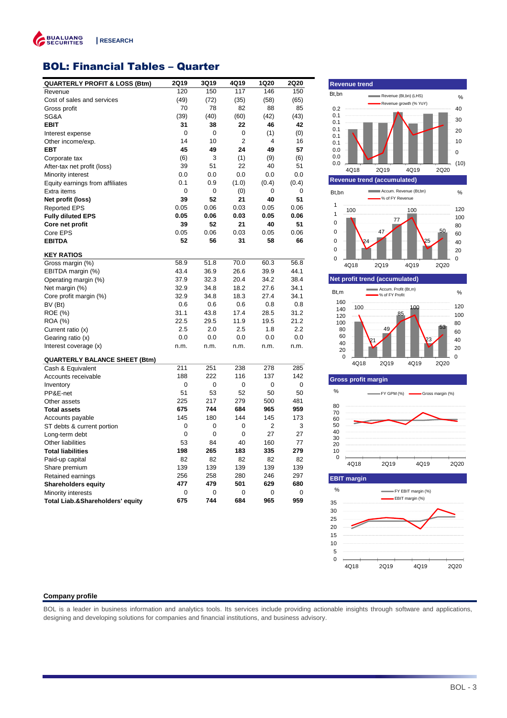

### BOL: Financial Tables – Quarter

| <b>QUARTERLY PROFIT &amp; LOSS (Btm)</b> | 2Q19 | 3Q19 | 4Q19  | 1Q20  | <b>2Q20</b> |
|------------------------------------------|------|------|-------|-------|-------------|
| Revenue                                  | 120  | 150  | 117   | 146   | 150         |
| Cost of sales and services               | (49) | (72) | (35)  | (58)  | (65)        |
| Gross profit                             | 70   | 78   | 82    | 88    | 85          |
| SG&A                                     | (39) | (40) | (60)  | (42)  | (43)        |
| <b>EBIT</b>                              | 31   | 38   | 22    | 46    | 42          |
| Interest expense                         | 0    | 0    | 0     | (1)   | (0)         |
| Other income/exp.                        | 14   | 10   | 2     | 4     | 16          |
| <b>EBT</b>                               | 45   | 49   | 24    | 49    | 57          |
| Corporate tax                            | (6)  | 3    | (1)   | (9)   | (6)         |
| After-tax net profit (loss)              | 39   | 51   | 22    | 40    | 51          |
| Minority interest                        | 0.0  | 0.0  | 0.0   | 0.0   | 0.0         |
| Equity earnings from affiliates          | 0.1  | 0.9  | (1.0) | (0.4) | (0.4)       |
| Extra items                              | 0    | 0    | (0)   | 0     | 0           |
| Net profit (loss)                        | 39   | 52   | 21    | 40    | 51          |
| <b>Reported EPS</b>                      | 0.05 | 0.06 | 0.03  | 0.05  | 0.06        |
| <b>Fully diluted EPS</b>                 | 0.05 | 0.06 | 0.03  | 0.05  | 0.06        |
| Core net profit                          | 39   | 52   | 21    | 40    | 51          |
| Core EPS                                 | 0.05 | 0.06 | 0.03  | 0.05  | 0.06        |
| <b>EBITDA</b>                            | 52   | 56   | 31    | 58    | 66          |
| <b>KEY RATIOS</b>                        |      |      |       |       |             |
| Gross margin (%)                         | 58.9 | 51.8 | 70.0  | 60.3  | 56.8        |
| EBITDA margin (%)                        | 43.4 | 36.9 | 26.6  | 39.9  | 44.1        |
| Operating margin (%)                     | 37.9 | 32.3 | 20.4  | 34.2  | 38.4        |
| Net margin (%)                           | 32.9 | 34.8 | 18.2  | 27.6  | 34.1        |
| Core profit margin (%)                   | 32.9 | 34.8 | 18.3  | 27.4  | 34.1        |
| BV (Bt)                                  | 0.6  | 0.6  | 0.6   | 0.8   | 0.8         |
| ROE (%)                                  | 31.1 | 43.8 | 17.4  | 28.5  | 31.2        |
| ROA (%)                                  | 22.5 | 29.5 | 11.9  | 19.5  | 21.2        |
| Current ratio (x)                        | 2.5  | 2.0  | 2.5   | 1.8   | 2.2         |
| Gearing ratio (x)                        | 0.0  | 0.0  | 0.0   | 0.0   | 0.0         |
| Interest coverage (x)                    | n.m. | n.m. | n.m.  | n.m.  | n.m.        |
| <b>QUARTERLY BALANCE SHEET (Btm)</b>     |      |      |       |       |             |
| Cash & Equivalent                        | 211  | 251  | 238   | 278   | 285         |
| Accounts receivable                      | 188  | 222  | 116   | 137   | 142         |
| Inventory                                | 0    | 0    | 0     | 0     | $\mathbf 0$ |
| PP&E-net                                 | 51   | 53   | 52    | 50    | 50          |
| Other assets                             | 225  | 217  | 279   | 500   | 481         |
| <b>Total assets</b>                      | 675  | 744  | 684   | 965   | 959         |
| Accounts payable                         | 145  | 180  | 144   | 145   | 173         |
| ST debts & current portion               | 0    | 0    | 0     | 2     | 3           |
| Long-term debt                           | 0    | 0    | 0     | 27    | 27          |
| <b>Other liabilities</b>                 | 53   | 84   | 40    | 160   | 77          |
| <b>Total liabilities</b>                 | 198  | 265  | 183   | 335   | 279         |
| Paid-up capital                          | 82   | 82   | 82    | 82    | 82          |
| Share premium                            | 139  | 139  | 139   | 139   | 139         |
| Retained earnings                        | 256  | 258  | 280   | 246   | 297         |
| <b>Shareholders equity</b>               | 477  | 479  | 501   | 629   | 680         |
| Minority interests                       | 0    | 0    | 0     | 0     | 0           |
| Total Liab.&Shareholders' equity         | 675  | 744  | 684   | 965   | 959         |
|                                          |      |      |       |       |             |



#### **Company profile**

BOL is a leader in business information and analytics tools. Its services include providing actionable insights through software and applications, designing and developing solutions for companies and financial institutions, and business advisory.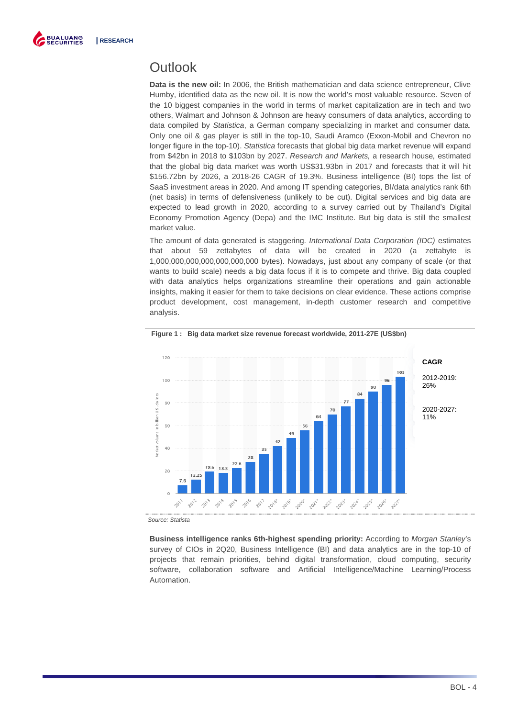

## **Outlook**

**Data is the new oil:** In 2006, the British mathematician and data science entrepreneur, Clive Humby, identified data as the new oil. It is now the world's most valuable resource. Seven of the 10 biggest companies in the world in terms of market capitalization are in tech and two others, Walmart and Johnson & Johnson are heavy consumers of data analytics, according to data compiled by Statistica, a German company specializing in market and consumer data. Only one oil & gas player is still in the top-10, Saudi Aramco (Exxon-Mobil and Chevron no longer figure in the top-10). Statistica forecasts that global big data market revenue will expand from \$42bn in 2018 to \$103bn by 2027. Research and Markets, a research house, estimated that the global big data market was worth US\$31.93bn in 2017 and forecasts that it will hit \$156.72bn by 2026, a 2018-26 CAGR of 19.3%. Business intelligence (BI) tops the list of SaaS investment areas in 2020. And among IT spending categories, BI/data analytics rank 6th (net basis) in terms of defensiveness (unlikely to be cut). Digital services and big data are expected to lead growth in 2020, according to a survey carried out by Thailand's Digital Economy Promotion Agency (Depa) and the IMC Institute. But big data is still the smallest market value.

The amount of data generated is staggering. International Data Corporation (IDC) estimates that about 59 zettabytes of data will be created in 2020 (a zettabyte is 1,000,000,000,000,000,000,000 bytes). Nowadays, just about any company of scale (or that wants to build scale) needs a big data focus if it is to compete and thrive. Big data coupled with data analytics helps organizations streamline their operations and gain actionable insights, making it easier for them to take decisions on clear evidence. These actions comprise product development, cost management, in-depth customer research and competitive analysis.



**Figure 1 : Big data market size revenue forecast worldwide, 2011-27E (US\$bn)** 

Source: Statista

**Business intelligence ranks 6th-highest spending priority:** According to Morgan Stanley's survey of CIOs in 2Q20, Business Intelligence (BI) and data analytics are in the top-10 of projects that remain priorities, behind digital transformation, cloud computing, security software, collaboration software and Artificial Intelligence/Machine Learning/Process Automation.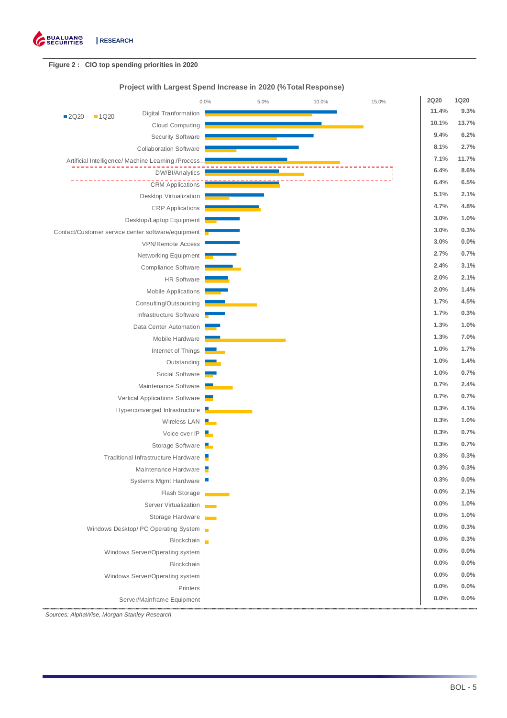

### **Figure 2 : CIO top spending priorities in 2020**

### **Project with Largest Spend Increase in 2020 (%Total Response)**

|       |        |                                                     | 0.0% | 5.0% | 10.0% | 15.0% | <b>2Q20</b> | <b>1Q20</b> |
|-------|--------|-----------------------------------------------------|------|------|-------|-------|-------------|-------------|
| ■2Q20 | ■ 1Q20 | <b>Digital Tranformation</b>                        |      |      |       |       | 11.4%       | 9.3%        |
|       |        | Cloud Computing                                     |      |      |       |       | 10.1%       | 13.7%       |
|       |        | Security Software                                   |      |      |       |       | 9.4%        | 6.2%        |
|       |        | <b>Collaboration Software</b>                       |      |      |       |       | 8.1%        | 2.7%        |
|       |        | Artificial Intelligence/ Machine Learning /Process. |      |      |       |       | 7.1%        | 11.7%       |
|       |        | DW/BI/Analytics                                     |      |      |       |       | 6.4%        | 8.6%        |
|       |        | <b>CRM</b> Applications                             |      |      |       |       | 6.4%        | 6.5%        |
|       |        | Desktop Virtualization                              |      |      |       |       | 5.1%        | 2.1%        |
|       |        | <b>ERP</b> Applications                             |      |      |       |       | 4.7%        | 4.8%        |
|       |        | Desktop/Laptop Equipment                            |      |      |       |       | 3.0%        | 1.0%        |
|       |        | Contact/Customer service center software/equipment  |      |      |       |       | 3.0%        | 0.3%        |
|       |        | <b>VPN/Remote Access</b>                            |      |      |       |       | 3.0%        | 0.0%        |
|       |        | Networking Equipment                                |      |      |       |       | 2.7%        | 0.7%        |
|       |        | Compliance Software                                 |      |      |       |       | 2.4%        | 3.1%        |
|       |        | <b>HR</b> Software                                  |      |      |       |       | 2.0%        | 2.1%        |
|       |        | Mobile Applications                                 |      |      |       |       | 2.0%        | 1.4%        |
|       |        | Consulting/Outsourcing                              |      |      |       |       | 1.7%        | 4.5%        |
|       |        | Infrastructure Software                             |      |      |       |       | 1.7%        | 0.3%        |
|       |        | Data Center Automation                              |      |      |       |       | 1.3%        | 1.0%        |
|       |        | Mobile Hardware                                     |      |      |       |       | 1.3%        | 7.0%        |
|       |        | Internet of Things                                  |      |      |       |       | 1.0%        | 1.7%        |
|       |        | Outstanding                                         |      |      |       |       | 1.0%        | 1.4%        |
|       |        | Social Software                                     |      |      |       |       | 1.0%        | 0.7%        |
|       |        | Maintenance Software                                |      |      |       |       | 0.7%        | 2.4%        |
|       |        | Vertical Applications Software                      |      |      |       |       | 0.7%        | 0.7%        |
|       |        | Hyperconverged Infrastructure                       |      |      |       |       | 0.3%        | 4.1%        |
|       |        | Wireless LAN                                        |      |      |       |       | 0.3%        | 1.0%        |
|       |        | Voice over IP                                       |      |      |       |       | 0.3%        | 0.7%        |
|       |        | Storage Software                                    |      |      |       |       | 0.3%        | 0.7%        |
|       |        | Traditional Infrastructure Hardware                 |      |      |       |       | 0.3%        | 0.3%        |
|       |        | Maintenance Hardware                                |      |      |       |       | 0.3%        | 0.3%        |
|       |        | Systems Mgmt Hardware                               |      |      |       |       | 0.3%        | $0.0\%$     |
|       |        | Flash Storage                                       |      |      |       |       | 0.0%        | 2.1%        |
|       |        | Server Virtualization                               |      |      |       |       | 0.0%        | 1.0%        |
|       |        | Storage Hardware                                    |      |      |       |       | 0.0%        | 1.0%        |
|       |        | Windows Desktop/ PC Operating System                |      |      |       |       | 0.0%        | 0.3%        |
|       |        | Blockchain                                          |      |      |       |       | 0.0%        | 0.3%        |
|       |        | Windows Server/Operating system                     |      |      |       |       | 0.0%        | 0.0%        |
|       |        | Blockchain                                          |      |      |       |       | 0.0%        | 0.0%        |
|       |        | Windows Server/Operating system                     |      |      |       |       | 0.0%        | 0.0%        |
|       |        | Printers                                            |      |      |       |       | 0.0%        | 0.0%        |
|       |        | Server/Mainframe Equipment                          |      |      |       |       | 0.0%        | 0.0%        |
|       |        |                                                     |      |      |       |       |             |             |

Sources: AlphaWise, Morgan Stanley Research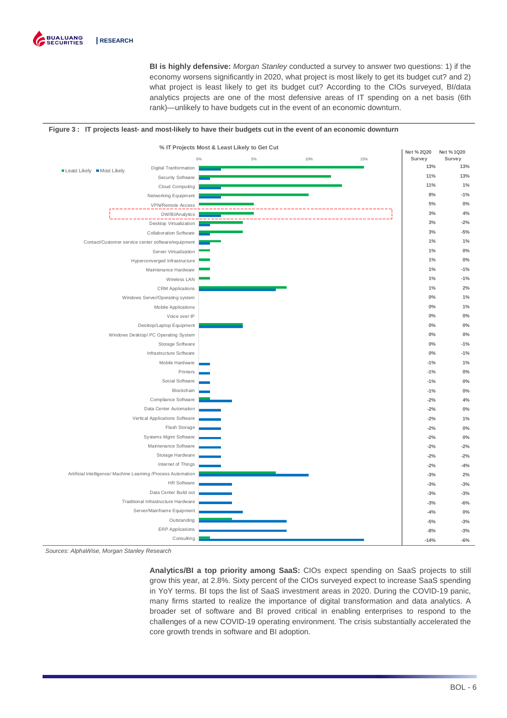

**BI is highly defensive:** Morgan Stanley conducted a survey to answer two questions: 1) if the economy worsens significantly in 2020, what project is most likely to get its budget cut? and 2) what project is least likely to get its budget cut? According to the CIOs surveyed, BI/data analytics projects are one of the most defensive areas of IT spending on a net basis (6th rank)—unlikely to have budgets cut in the event of an economic downturn.

#### **Figure 3 : IT projects least- and most-likely to have their budgets cut in the event of an economic downturn**



Sources: AlphaWise, Morgan Stanley Research

**Analytics/BI a top priority among SaaS:** CIOs expect spending on SaaS projects to still grow this year, at 2.8%. Sixty percent of the CIOs surveyed expect to increase SaaS spending in YoY terms. BI tops the list of SaaS investment areas in 2020. During the COVID-19 panic, many firms started to realize the importance of digital transformation and data analytics. A broader set of software and BI proved critical in enabling enterprises to respond to the challenges of a new COVID-19 operating environment. The crisis substantially accelerated the core growth trends in software and BI adoption.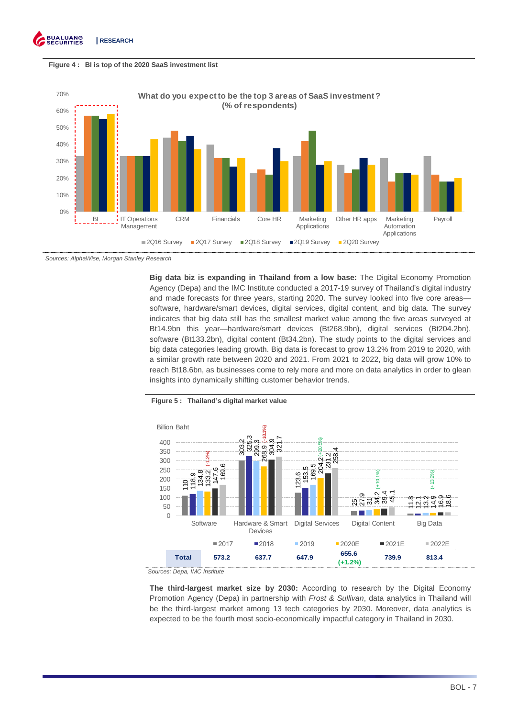



Sources: AlphaWise, Morgan Stanley Research

**Big data biz is expanding in Thailand from a low base:** The Digital Economy Promotion Agency (Depa) and the IMC Institute conducted a 2017-19 survey of Thailand's digital industry and made forecasts for three years, starting 2020. The survey looked into five core areas software, hardware/smart devices, digital services, digital content, and big data. The survey indicates that big data still has the smallest market value among the five areas surveyed at Bt14.9bn this year—hardware/smart devices (Bt268.9bn), digital services (Bt204.2bn), software (Bt133.2bn), digital content (Bt34.2bn). The study points to the digital services and big data categories leading growth. Big data is forecast to grow 13.2% from 2019 to 2020, with a similar growth rate between 2020 and 2021. From 2021 to 2022, big data will grow 10% to reach Bt18.6bn, as businesses come to rely more and more on data analytics in order to glean insights into dynamically shifting customer behavior trends.



#### **Figure 5 : Thailand's digital market value**

Sources: Depa, IMC Institute

**The third-largest market size by 2030:** According to research by the Digital Economy Promotion Agency (Depa) in partnership with *Frost & Sullivan*, data analytics in Thailand will be the third-largest market among 13 tech categories by 2030. Moreover, data analytics is expected to be the fourth most socio-economically impactful category in Thailand in 2030.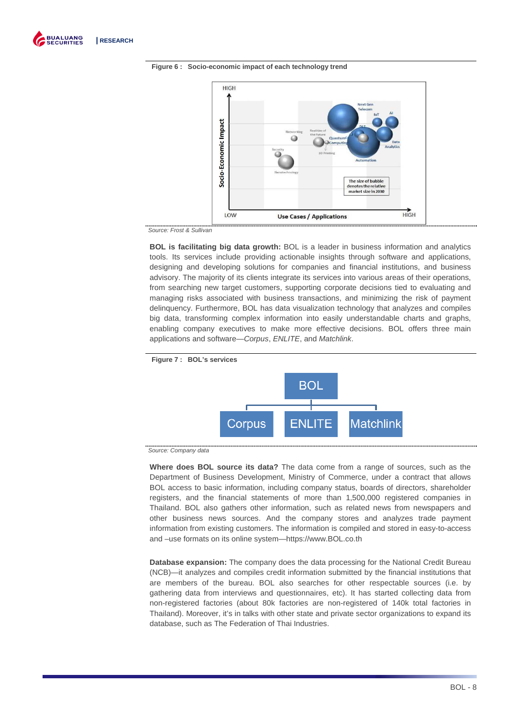





Source: Frost & Sullivan

**BOL is facilitating big data growth:** BOL is a leader in business information and analytics tools. Its services include providing actionable insights through software and applications, designing and developing solutions for companies and financial institutions, and business advisory. The majority of its clients integrate its services into various areas of their operations, from searching new target customers, supporting corporate decisions tied to evaluating and managing risks associated with business transactions, and minimizing the risk of payment delinquency. Furthermore, BOL has data visualization technology that analyzes and compiles big data, transforming complex information into easily understandable charts and graphs, enabling company executives to make more effective decisions. BOL offers three main applications and software—Corpus, ENLITE, and Matchlink.



Source: Company data

**Where does BOL source its data?** The data come from a range of sources, such as the Department of Business Development, Ministry of Commerce, under a contract that allows BOL access to basic information, including company status, boards of directors, shareholder registers, and the financial statements of more than 1,500,000 registered companies in Thailand. BOL also gathers other information, such as related news from newspapers and other business news sources. And the company stores and analyzes trade payment information from existing customers. The information is compiled and stored in easy-to-access and –use formats on its online system—https://www.BOL.co.th

**Database expansion:** The company does the data processing for the National Credit Bureau (NCB)—it analyzes and compiles credit information submitted by the financial institutions that are members of the bureau. BOL also searches for other respectable sources (i.e. by gathering data from interviews and questionnaires, etc). It has started collecting data from non-registered factories (about 80k factories are non-registered of 140k total factories in Thailand). Moreover, it's in talks with other state and private sector organizations to expand its database, such as The Federation of Thai Industries.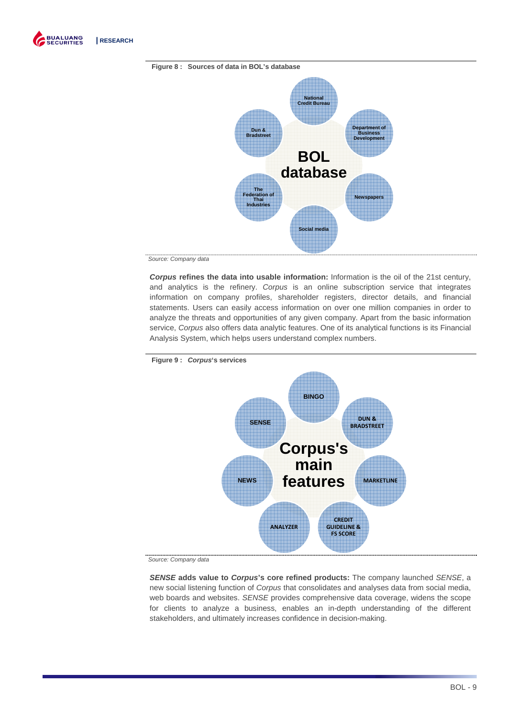





Source: Company data

**Corpus refines the data into usable information:** Information is the oil of the 21st century, and analytics is the refinery. Corpus is an online subscription service that integrates information on company profiles, shareholder registers, director details, and financial statements. Users can easily access information on over one million companies in order to analyze the threats and opportunities of any given company. Apart from the basic information service, Corpus also offers data analytic features. One of its analytical functions is its Financial Analysis System, which helps users understand complex numbers.



**Figure 9 : Corpus's services** 

Source: Company data

**SENSE adds value to Corpus's core refined products:** The company launched SENSE, a new social listening function of Corpus that consolidates and analyses data from social media, web boards and websites. SENSE provides comprehensive data coverage, widens the scope for clients to analyze a business, enables an in-depth understanding of the different stakeholders, and ultimately increases confidence in decision-making.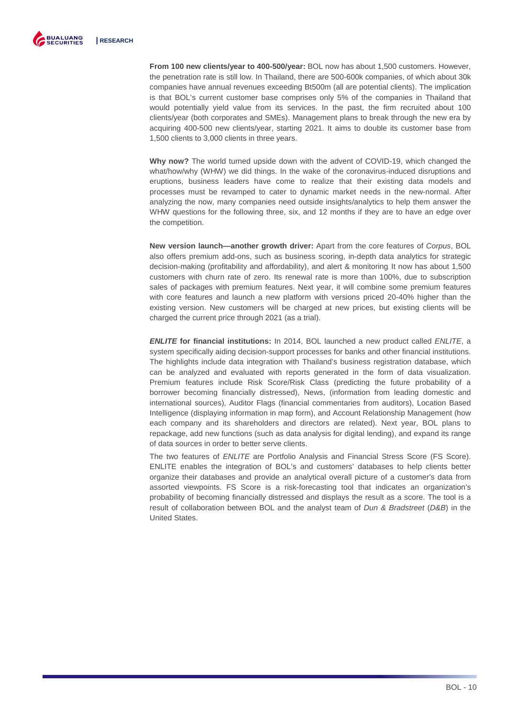

**From 100 new clients/year to 400-500/year:** BOL now has about 1,500 customers. However, the penetration rate is still low. In Thailand, there are 500-600k companies, of which about 30k companies have annual revenues exceeding Bt500m (all are potential clients). The implication is that BOL's current customer base comprises only 5% of the companies in Thailand that would potentially yield value from its services. In the past, the firm recruited about 100 clients/year (both corporates and SMEs). Management plans to break through the new era by acquiring 400-500 new clients/year, starting 2021. It aims to double its customer base from 1,500 clients to 3,000 clients in three years.

**Why now?** The world turned upside down with the advent of COVID-19, which changed the what/how/why (WHW) we did things. In the wake of the coronavirus-induced disruptions and eruptions, business leaders have come to realize that their existing data models and processes must be revamped to cater to dynamic market needs in the new-normal. After analyzing the now, many companies need outside insights/analytics to help them answer the WHW questions for the following three, six, and 12 months if they are to have an edge over the competition.

**New version launch—another growth driver:** Apart from the core features of Corpus, BOL also offers premium add-ons, such as business scoring, in-depth data analytics for strategic decision-making (profitability and affordability), and alert & monitoring. It now has about 1,500 customers with churn rate of zero. Its renewal rate is more than 100%, due to subscription sales of packages with premium features. Next year, it will combine some premium features with core features and launch a new platform with versions priced 20-40% higher than the existing version. New customers will be charged at new prices, but existing clients will be charged the current price through 2021 (as a trial).

**ENLITE for financial institutions:** In 2014, BOL launched a new product called ENLITE, a system specifically aiding decision-support processes for banks and other financial institutions. The highlights include data integration with Thailand's business registration database, which can be analyzed and evaluated with reports generated in the form of data visualization. Premium features include Risk Score/Risk Class (predicting the future probability of a borrower becoming financially distressed), News, (information from leading domestic and international sources), Auditor Flags (financial commentaries from auditors), Location Based Intelligence (displaying information in map form), and Account Relationship Management (how each company and its shareholders and directors are related). Next year, BOL plans to repackage, add new functions (such as data analysis for digital lending), and expand its range of data sources in order to better serve clients.

The two features of ENLITE are Portfolio Analysis and Financial Stress Score (FS Score). ENLITE enables the integration of BOL's and customers' databases to help clients better organize their databases and provide an analytical overall picture of a customer's data from assorted viewpoints. FS Score is a risk-forecasting tool that indicates an organization's probability of becoming financially distressed and displays the result as a score. The tool is a result of collaboration between BOL and the analyst team of *Dun & Bradstreet (D&B)* in the United States.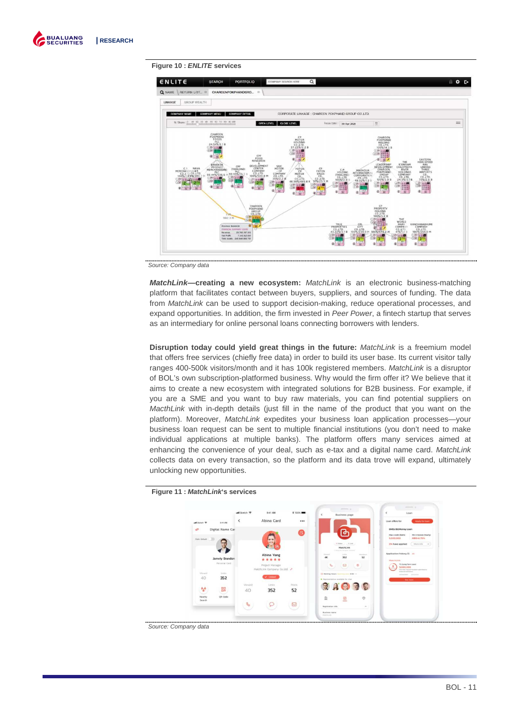

#### **Figure 10 : ENLITE services**



Source: Company data

**MatchLink—creating a new ecosystem:** MatchLink is an electronic business-matching platform that facilitates contact between buyers, suppliers, and sources of funding. The data from MatchLink can be used to support decision-making, reduce operational processes, and expand opportunities. In addition, the firm invested in Peer Power, a fintech startup that serves as an intermediary for online personal loans connecting borrowers with lenders.

**Disruption today could yield great things in the future:** MatchLink is a freemium model that offers free services (chiefly free data) in order to build its user base. Its current visitor tally ranges 400-500k visitors/month and it has 100k registered members. MatchLink is a disruptor of BOL's own subscription-platformed business. Why would the firm offer it? We believe that it aims to create a new ecosystem with integrated solutions for B2B business. For example, if you are a SME and you want to buy raw materials, you can find potential suppliers on MacthLink with in-depth details (just fill in the name of the product that you want on the platform). Moreover, MatchLink expedites your business loan application processes—your business loan request can be sent to multiple financial institutions (you don't need to make individual applications at multiple banks). The platform offers many services aimed at enhancing the convenience of your deal, such as e-tax and a digital name card. MatchLink collects data on every transaction, so the platform and its data trove will expand, ultimately unlocking new opportunities.



**Figure 11 : MatchLink's services** 

Source: Company data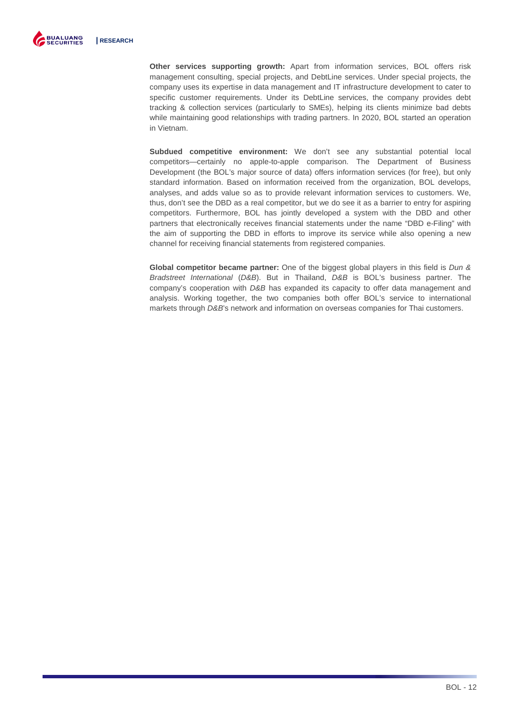

**Other services supporting growth:** Apart from information services, BOL offers risk management consulting, special projects, and DebtLine services. Under special projects, the company uses its expertise in data management and IT infrastructure development to cater to specific customer requirements. Under its DebtLine services, the company provides debt tracking & collection services (particularly to SMEs), helping its clients minimize bad debts while maintaining good relationships with trading partners. In 2020, BOL started an operation in Vietnam.

**Subdued competitive environment:** We don't see any substantial potential local competitors—certainly no apple-to-apple comparison. The Department of Business Development (the BOL's major source of data) offers information services (for free), but only standard information. Based on information received from the organization, BOL develops, analyses, and adds value so as to provide relevant information services to customers. We, thus, don't see the DBD as a real competitor, but we do see it as a barrier to entry for aspiring competitors. Furthermore, BOL has jointly developed a system with the DBD and other partners that electronically receives financial statements under the name "DBD e-Filing" with the aim of supporting the DBD in efforts to improve its service while also opening a new channel for receiving financial statements from registered companies.

**Global competitor became partner:** One of the biggest global players in this field is Dun & Bradstreet International (D&B). But in Thailand, D&B is BOL's business partner. The company's cooperation with D&B has expanded its capacity to offer data management and analysis. Working together, the two companies both offer BOL's service to international markets through D&B's network and information on overseas companies for Thai customers.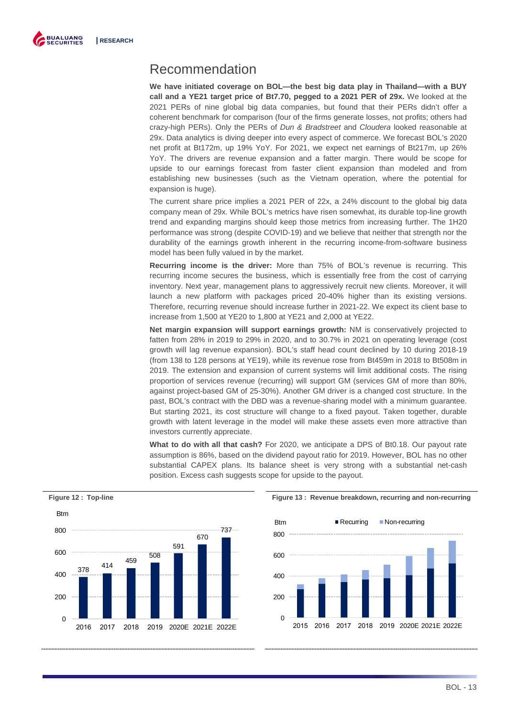

### Recommendation

**We have initiated coverage on BOL—the best big data play in Thailand—with a BUY call and a YE21 target price of Bt7.70, pegged to a 2021 PER of 29x.** We looked at the 2021 PERs of nine global big data companies, but found that their PERs didn't offer a coherent benchmark for comparison (four of the firms generate losses, not profits; others had crazy-high PERs). Only the PERs of Dun & Bradstreet and Cloudera looked reasonable at 29x. Data analytics is diving deeper into every aspect of commerce. We forecast BOL's 2020 net profit at Bt172m, up 19% YoY. For 2021, we expect net earnings of Bt217m, up 26% YoY. The drivers are revenue expansion and a fatter margin. There would be scope for upside to our earnings forecast from faster client expansion than modeled and from establishing new businesses (such as the Vietnam operation, where the potential for expansion is huge).

The current share price implies a 2021 PER of 22x, a 24% discount to the global big data company mean of 29x. While BOL's metrics have risen somewhat, its durable top-line growth trend and expanding margins should keep those metrics from increasing further. The 1H20 performance was strong (despite COVID-19) and we believe that neither that strength nor the durability of the earnings growth inherent in the recurring income-from-software business model has been fully valued in by the market.

**Recurring income is the driver:** More than 75% of BOL's revenue is recurring. This recurring income secures the business, which is essentially free from the cost of carrying inventory. Next year, management plans to aggressively recruit new clients. Moreover, it will launch a new platform with packages priced 20-40% higher than its existing versions. Therefore, recurring revenue should increase further in 2021-22. We expect its client base to increase from 1,500 at YE20 to 1,800 at YE21 and 2,000 at YE22.

**Net margin expansion will support earnings growth:** NM is conservatively projected to fatten from 28% in 2019 to 29% in 2020, and to 30.7% in 2021 on operating leverage (cost growth will lag revenue expansion). BOL's staff head count declined by 10 during 2018-19 (from 138 to 128 persons at YE19), while its revenue rose from Bt459m in 2018 to Bt508m in 2019. The extension and expansion of current systems will limit additional costs. The rising proportion of services revenue (recurring) will support GM (services GM of more than 80%, against project-based GM of 25-30%). Another GM driver is a changed cost structure. In the past, BOL's contract with the DBD was a revenue-sharing model with a minimum guarantee. But starting 2021, its cost structure will change to a fixed payout. Taken together, durable growth with latent leverage in the model will make these assets even more attractive than investors currently appreciate.

**What to do with all that cash?** For 2020, we anticipate a DPS of Bt0.18. Our payout rate assumption is 86%, based on the dividend payout ratio for 2019. However, BOL has no other substantial CAPEX plans. Its balance sheet is very strong with a substantial net-cash position. Excess cash suggests scope for upside to the payout.



### **Figure 12 : Top-line Figure 13 : Revenue breakdown, recurring and non-recurring**

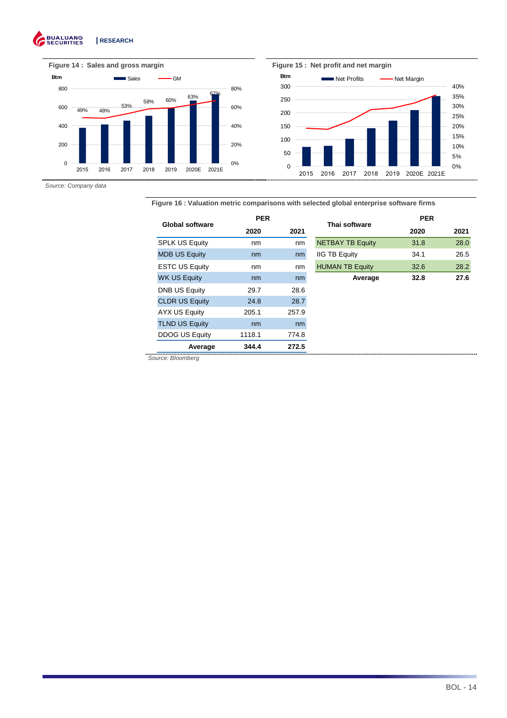#### **BUALUANG**<br>SECURITIES **| RESEARCH**  G





Source: Company data

**Figure 16 : Valuation metric comparisons with selected global enterprise software firms** 

| <b>Global software</b> | <b>PER</b>   |       | Thai software           | <b>PER</b> |      |
|------------------------|--------------|-------|-------------------------|------------|------|
|                        | 2021<br>2020 |       |                         | 2020       | 2021 |
| <b>SPLK US Equity</b>  | nm           | nm    | <b>NETBAY TB Equity</b> | 31.8       | 28.0 |
| <b>MDB US Equity</b>   | nm           | nm    | <b>IIG TB Equity</b>    | 34.1       | 26.5 |
| <b>ESTC US Equity</b>  | nm           | nm    | <b>HUMAN TB Equity</b>  | 32.6       | 28.2 |
| <b>WK US Equity</b>    | nm           | nm    | Average                 | 32.8       | 27.6 |
| <b>DNB US Equity</b>   | 29.7         | 28.6  |                         |            |      |
| <b>CLDR US Equity</b>  | 24.8         | 28.7  |                         |            |      |
| AYX US Equity          | 205.1        | 257.9 |                         |            |      |
| <b>TLND US Equity</b>  | nm           | nm    |                         |            |      |
| <b>DDOG US Equity</b>  | 1118.1       | 774.8 |                         |            |      |
| Average                | 344.4        | 272.5 |                         |            |      |

Source: Bloomberg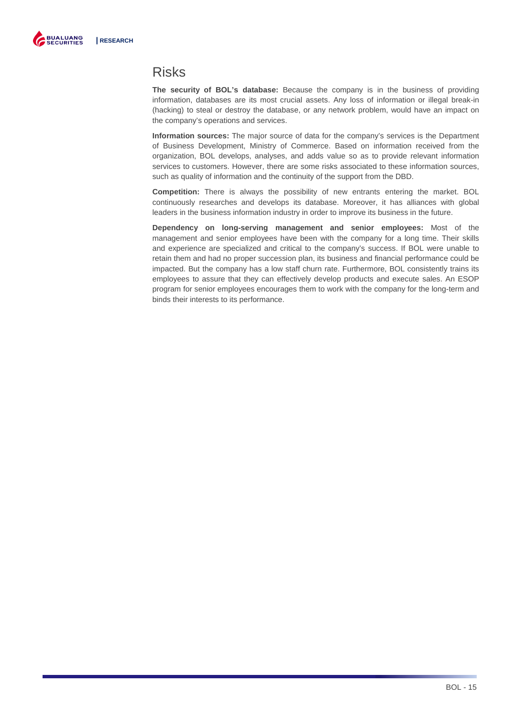

### Risks

**The security of BOL's database:** Because the company is in the business of providing information, databases are its most crucial assets. Any loss of information or illegal break-in (hacking) to steal or destroy the database, or any network problem, would have an impact on the company's operations and services.

**Information sources:** The major source of data for the company's services is the Department of Business Development, Ministry of Commerce. Based on information received from the organization, BOL develops, analyses, and adds value so as to provide relevant information services to customers. However, there are some risks associated to these information sources, such as quality of information and the continuity of the support from the DBD.

**Competition:** There is always the possibility of new entrants entering the market. BOL continuously researches and develops its database. Moreover, it has alliances with global leaders in the business information industry in order to improve its business in the future.

**Dependency on long-serving management and senior employees:** Most of the management and senior employees have been with the company for a long time. Their skills and experience are specialized and critical to the company's success. If BOL were unable to retain them and had no proper succession plan, its business and financial performance could be impacted. But the company has a low staff churn rate. Furthermore, BOL consistently trains its employees to assure that they can effectively develop products and execute sales. An ESOP program for senior employees encourages them to work with the company for the long-term and binds their interests to its performance.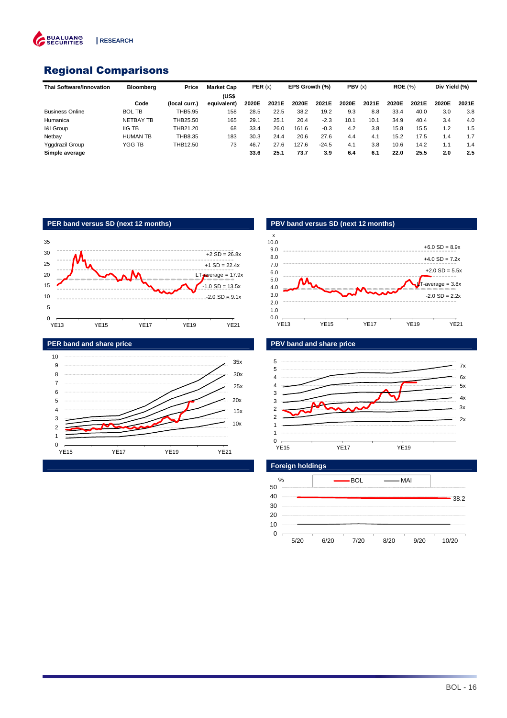

### Regional Comparisons

| <b>Thai Software/Innovation</b> | Bloombera        | Price         | <b>Market Cap</b> | PER(x) |       | EPS Growth (%) |         | PBV(x) |       | <b>ROE</b> (%) |       | Div Yield (%) |       |
|---------------------------------|------------------|---------------|-------------------|--------|-------|----------------|---------|--------|-------|----------------|-------|---------------|-------|
|                                 |                  |               | (US\$             |        |       |                |         |        |       |                |       |               |       |
|                                 | Code             | (local curr.) | equivalent)       | 2020E  | 2021E | 2020E          | 2021E   | 2020E  | 2021E | 2020E          | 2021E | 2020E         | 2021E |
| <b>Business Online</b>          | <b>BOL TB</b>    | THB5.95       | 158               | 28.5   | 22.5  | 38.2           | 19.2    | 9.3    | 8.8   | 33.4           | 40.0  | 3.0           | 3.8   |
| Humanica                        | <b>NETBAY TB</b> | THB25.50      | 165               | 29.1   | 25.1  | 20.4           | $-2.3$  | 10.1   | 10.1  | 34.9           | 40.4  | 3.4           | 4.0   |
| 1&I Group                       | <b>IIG TB</b>    | THB21.20      | 68                | 33.4   | 26.0  | 161.6          | $-0.3$  | 4.2    | 3.8   | 15.8           | 15.5  | 1.2           | 1.5   |
| Netbay                          | <b>HUMAN TB</b>  | THB8.35       | 183               | 30.3   | 24.4  | 20.6           | 27.6    | 4.4    | 4.1   | 15.2           | 17.5  | 1.4           | 1.7   |
| Yggdrazil Group                 | YGG TB           | THB12.50      | 73                | 46.7   | 27.6  | 127.6          | $-24.5$ | 4.1    | 3.8   | 10.6           | 14.2  | 1.1           | 1.4   |
| Simple average                  |                  |               |                   | 33.6   | 25.1  | 73.7           | 3.9     | 6.4    | 6.1   | 22.0           | 25.5  | 2.0           | 2.5   |









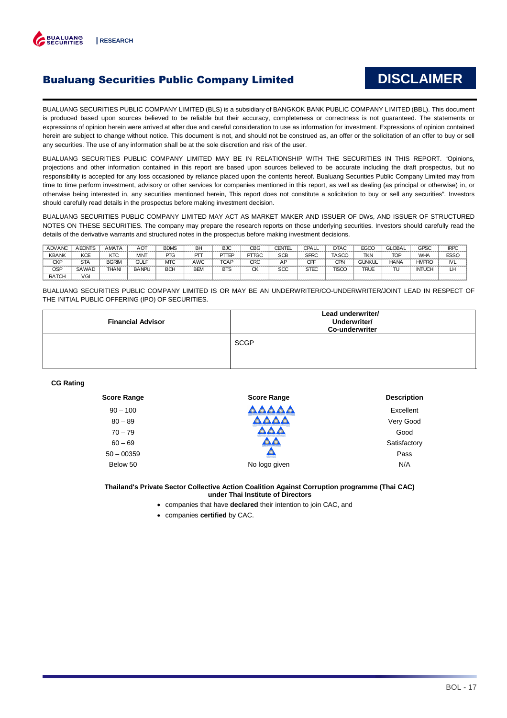

### Bualuang Securities Public Company Limited

## **DISCLAIMER**

BUALUANG SECURITIES PUBLIC COMPANY LIMITED (BLS) is a subsidiary of BANGKOK BANK PUBLIC COMPANY LIMITED (BBL). This document is produced based upon sources believed to be reliable but their accuracy, completeness or correctness is not guaranteed. The statements or expressions of opinion herein were arrived at after due and careful consideration to use as information for investment. Expressions of opinion contained herein are subject to change without notice. This document is not, and should not be construed as, an offer or the solicitation of an offer to buy or sell any securities. The use of any information shall be at the sole discretion and risk of the user.

BUALUANG SECURITIES PUBLIC COMPANY LIMITED MAY BE IN RELATIONSHIP WITH THE SECURITIES IN THIS REPORT. "Opinions, projections and other information contained in this report are based upon sources believed to be accurate including the draft prospectus, but no responsibility is accepted for any loss occasioned by reliance placed upon the contents hereof. Bualuang Securities Public Company Limited may from time to time perform investment, advisory or other services for companies mentioned in this report, as well as dealing (as principal or otherwise) in, or otherwise being interested in, any securities mentioned herein, This report does not constitute a solicitation to buy or sell any securities". Investors should carefully read details in the prospectus before making investment decision.

BUALUANG SECURITIES PUBLIC COMPANY LIMITED MAY ACT AS MARKET MAKER AND ISSUER OF DWs, AND ISSUER OF STRUCTURED NOTES ON THESE SECURITIES. The company may prepare the research reports on those underlying securities. Investors should carefully read the details of the derivative warrants and structured notes in the prospectus before making investment decisions.

| <b>ADVANC</b> | <b>AEONTS</b> | AMATA        | <b>AOT</b>   | <b>BDMS</b> | BH         | <b>BJC</b>  | CBG          | <b>CENTEL</b> | CPALL       | <b>DTAC</b>  | <b>EGCO</b>   | <b>ilobal</b> | <b>GPSC</b>   | <b>IRPC</b> |
|---------------|---------------|--------------|--------------|-------------|------------|-------------|--------------|---------------|-------------|--------------|---------------|---------------|---------------|-------------|
| <b>KBANK</b>  | <b>KCE</b>    | KTC          | <b>MINT</b>  | PTG         | ᇚ          | PTTEP       | PTTGC        | SCE           | <b>SPRC</b> | TASCC        | <b>TKN</b>    | <b>TOP</b>    | <b>WHA</b>    | <b>ESSC</b> |
| <b>CKP</b>    | <b>STA</b>    | <b>BGRIM</b> | GUL          | МTC         | AWC        | <b>TCAP</b> | CRC          | AP            | CPF         | CPN          | <b>GUNKUL</b> | <b>HANA</b>   | <b>HMPRO</b>  | <b>NL</b>   |
| OSP           | SAWAD         | <b>THANI</b> | <b>BANPL</b> | <b>BCH</b>  | <b>BEM</b> | <b>BTS</b>  | $\sim$<br>UN | SCC           | <b>STEC</b> | <b>TISCO</b> | <b>TRUE</b>   | π             | <b>INTUCH</b> | LH          |
| <b>RATCH</b>  | VGI           |              |              |             |            |             |              |               |             |              |               |               |               |             |

BUALUANG SECURITIES PUBLIC COMPANY LIMITED IS OR MAY BE AN UNDERWRITER/CO-UNDERWRITER/JOINT LEAD IN RESPECT OF THE INITIAL PUBLIC OFFERING (IPO) OF SECURITIES.

| <b>Financial Advisor</b> | Lead underwriter/<br>Underwriter/<br><b>Co-underwriter</b> |
|--------------------------|------------------------------------------------------------|
|                          | <b>SCGP</b>                                                |

#### **CG Rating**

| <b>Score Range</b> | <b>Score Range</b>     | <b>Description</b> |
|--------------------|------------------------|--------------------|
| $90 - 100$         | <b>AAAA</b>            | Excellent          |
| $80 - 89$          |                        | Very Good          |
| $70 - 79$          |                        | Good               |
| $60 - 69$          | ustatuvatas ustatuvata | Satisfactory       |
| $50 - 00359$       | <b>STANDARD</b>        | Pass               |
| Below 50           | No logo given          | N/A                |

**Thailand's Private Sector Collective Action Coalition Against Corruption programme (Thai CAC) under Thai Institute of Directors** 

- companies that have **declared** their intention to join CAC, and
- companies **certified** by CAC.